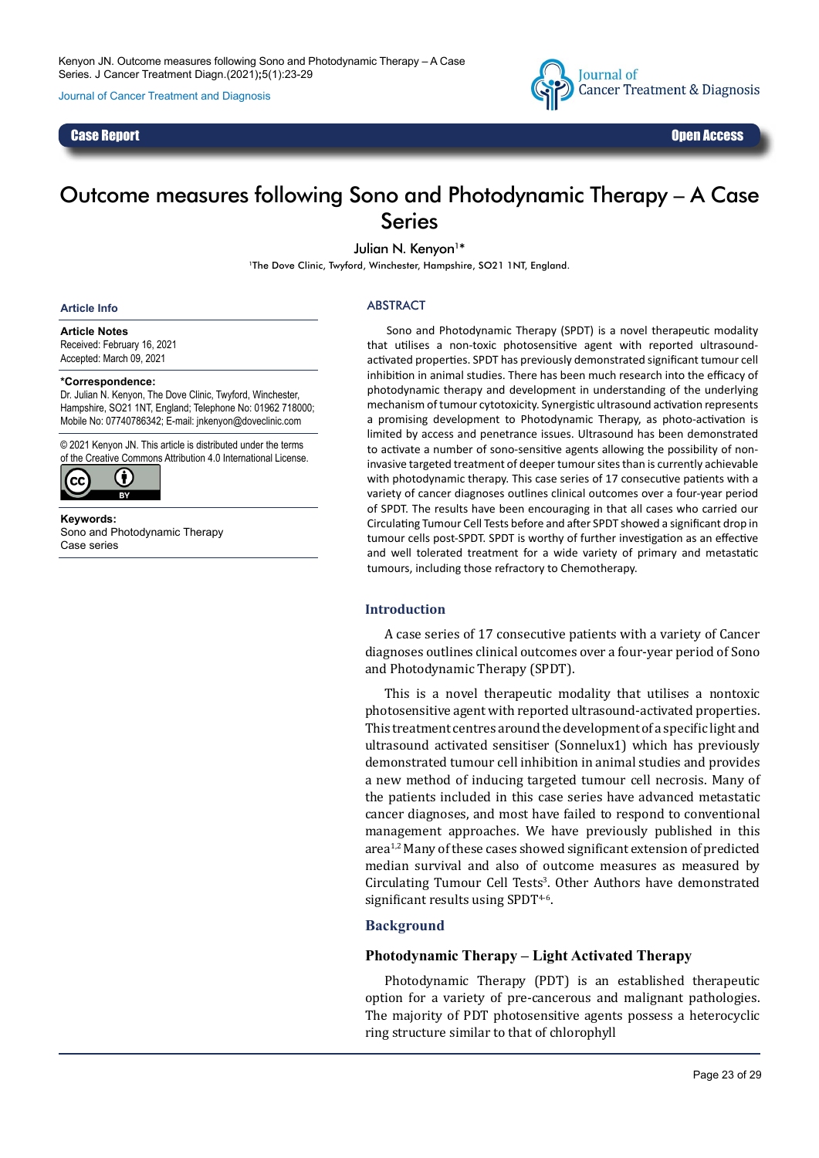Journal of Cancer Treatment and Diagnosis



### Case Report Open Access

# Outcome measures following Sono and Photodynamic Therapy – A Case Series

Julian N. Kenyon<sup>1\*</sup>

<sup>1</sup>The Dove Clinic, Twyford, Winchester, Hampshire, SO21 1NT, England.

#### **Article Info**

**Article Notes** Received: February 16, 2021 Accepted: March 09, 2021

#### **\*Correspondence:**

Dr. Julian N. Kenyon, The Dove Clinic, Twyford, Winchester, Hampshire, SO21 1NT, England; Telephone No: 01962 718000; Mobile No: 07740786342; E-mail: jnkenyon@doveclinic.com

© 2021 Kenyon JN. This article is distributed under the terms of the Creative Commons Attribution 4.0 International License.



**Keywords:** Sono and Photodynamic Therapy Case series

#### ABSTRACT

Sono and Photodynamic Therapy (SPDT) is a novel therapeutic modality that utilises a non-toxic photosensitive agent with reported ultrasoundactivated properties. SPDT has previously demonstrated significant tumour cell inhibition in animal studies. There has been much research into the efficacy of photodynamic therapy and development in understanding of the underlying mechanism of tumour cytotoxicity. Synergistic ultrasound activation represents a promising development to Photodynamic Therapy, as photo-activation is limited by access and penetrance issues. Ultrasound has been demonstrated to activate a number of sono-sensitive agents allowing the possibility of noninvasive targeted treatment of deeper tumour sites than is currently achievable with photodynamic therapy. This case series of 17 consecutive patients with a variety of cancer diagnoses outlines clinical outcomes over a four-year period of SPDT. The results have been encouraging in that all cases who carried our Circulating Tumour Cell Tests before and after SPDT showed a significant drop in tumour cells post-SPDT. SPDT is worthy of further investigation as an effective and well tolerated treatment for a wide variety of primary and metastatic tumours, including those refractory to Chemotherapy.

### **Introduction**

A case series of 17 consecutive patients with a variety of Cancer diagnoses outlines clinical outcomes over a four-year period of Sono and Photodynamic Therapy (SPDT).

This is a novel therapeutic modality that utilises a nontoxic photosensitive agent with reported ultrasound-activated properties. This treatment centres around the development of a specific light and ultrasound activated sensitiser (Sonnelux1) which has previously demonstrated tumour cell inhibition in animal studies and provides a new method of inducing targeted tumour cell necrosis. Many of the patients included in this case series have advanced metastatic cancer diagnoses, and most have failed to respond to conventional management approaches. We have previously published in this  $area<sup>1,2</sup>$  Many of these cases showed significant extension of predicted median survival and also of outcome measures as measured by Circulating Tumour Cell Tests<sup>3</sup>. Other Authors have demonstrated significant results using SPDT<sup>4-6</sup>.

### **Background**

### **Photodynamic Therapy – Light Activated Therapy**

Photodynamic Therapy (PDT) is an established therapeutic option for a variety of pre-cancerous and malignant pathologies. The majority of PDT photosensitive agents possess a heterocyclic ring structure similar to that of chlorophyll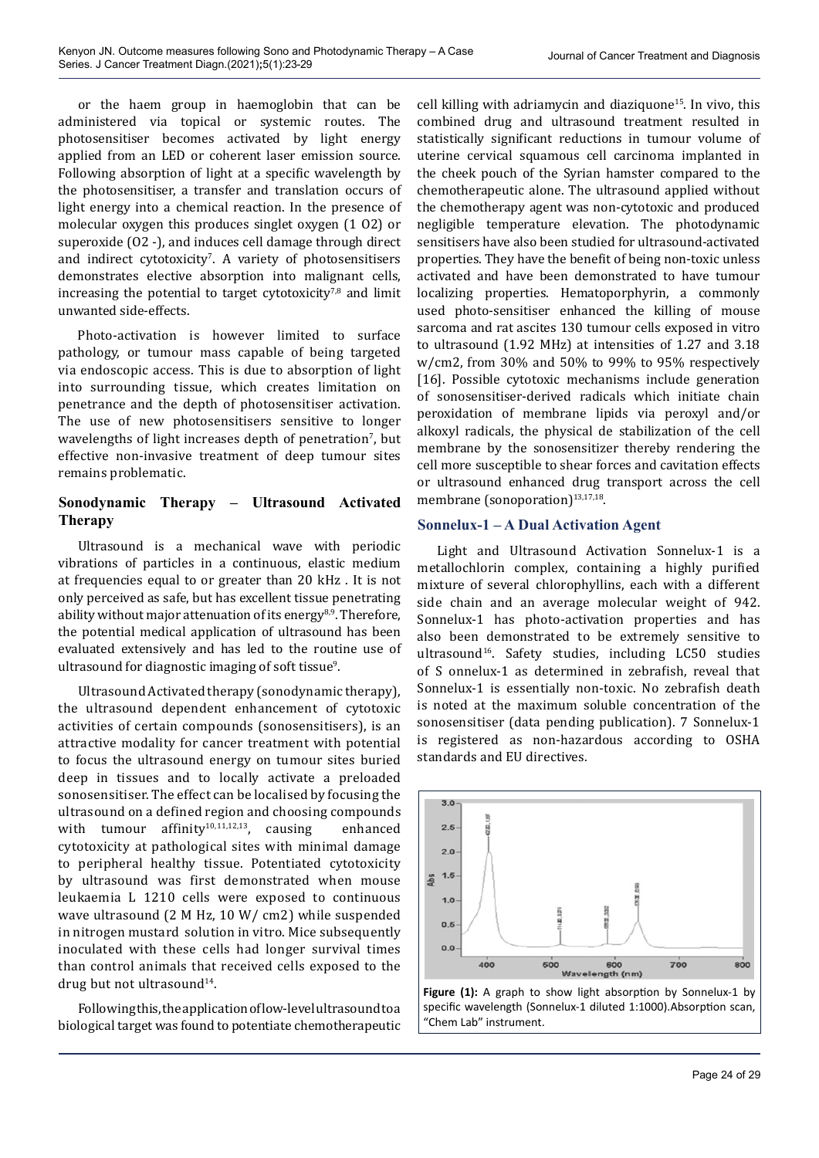or the haem group in haemoglobin that can be administered via topical or systemic routes. The photosensitiser becomes activated by light energy applied from an LED or coherent laser emission source. Following absorption of light at a specific wavelength by the photosensitiser, a transfer and translation occurs of light energy into a chemical reaction. In the presence of molecular oxygen this produces singlet oxygen (1 O2) or superoxide (O2 -), and induces cell damage through direct and indirect cytotoxicity<sup>7</sup>. A variety of photosensitisers demonstrates elective absorption into malignant cells, increasing the potential to target cytotoxicity $7,8$  and limit unwanted side-effects.

Photo-activation is however limited to surface pathology, or tumour mass capable of being targeted via endoscopic access. This is due to absorption of light into surrounding tissue, which creates limitation on penetrance and the depth of photosensitiser activation. The use of new photosensitisers sensitive to longer wavelengths of light increases depth of penetration', but effective non-invasive treatment of deep tumour sites remains problematic.

# **Sonodynamic Therapy – Ultrasound Activated Therapy**

Ultrasound is a mechanical wave with periodic vibrations of particles in a continuous, elastic medium at frequencies equal to or greater than 20 kHz . It is not only perceived as safe, but has excellent tissue penetrating ability without major attenuation of its energy<sup>8,9</sup>. Therefore, the potential medical application of ultrasound has been evaluated extensively and has led to the routine use of ultrasound for diagnostic imaging of soft tissue<sup>9</sup>.

Ultrasound Activated therapy (sonodynamic therapy), the ultrasound dependent enhancement of cytotoxic activities of certain compounds (sonosensitisers), is an attractive modality for cancer treatment with potential to focus the ultrasound energy on tumour sites buried deep in tissues and to locally activate a preloaded sonosensitiser. The effect can be localised by focusing the ultrasound on a defined region and choosing compounds with tumour affinity<sup>10,11,12,13</sup>, causing enhanced cytotoxicity at pathological sites with minimal damage to peripheral healthy tissue. Potentiated cytotoxicity by ultrasound was first demonstrated when mouse leukaemia L 1210 cells were exposed to continuous wave ultrasound (2 M Hz, 10 W/ cm2) while suspended in nitrogen mustard solution in vitro. Mice subsequently inoculated with these cells had longer survival times than control animals that received cells exposed to the drug but not ultrasound $14$ .

Following this, the application of low-level ultrasound to a biological target was found to potentiate chemotherapeutic cell killing with adriamycin and diaziquone<sup>15</sup>. In vivo, this combined drug and ultrasound treatment resulted in statistically significant reductions in tumour volume of uterine cervical squamous cell carcinoma implanted in the cheek pouch of the Syrian hamster compared to the chemotherapeutic alone. The ultrasound applied without the chemotherapy agent was non-cytotoxic and produced negligible temperature elevation. The photodynamic sensitisers have also been studied for ultrasound-activated properties. They have the benefit of being non-toxic unless activated and have been demonstrated to have tumour localizing properties. Hematoporphyrin, a commonly used photo-sensitiser enhanced the killing of mouse sarcoma and rat ascites 130 tumour cells exposed in vitro to ultrasound (1.92 MHz) at intensities of 1.27 and 3.18 w/cm2, from 30% and 50% to 99% to 95% respectively [16]. Possible cytotoxic mechanisms include generation of sonosensitiser-derived radicals which initiate chain peroxidation of membrane lipids via peroxyl and/or alkoxyl radicals, the physical de stabilization of the cell membrane by the sonosensitizer thereby rendering the cell more susceptible to shear forces and cavitation effects or ultrasound enhanced drug transport across the cell membrane (sonoporation)<sup>13,17,18</sup>.

### **Sonnelux-1 – A Dual Activation Agent**

Light and Ultrasound Activation Sonnelux-1 is a metallochlorin complex, containing a highly purified mixture of several chlorophyllins, each with a different side chain and an average molecular weight of 942. Sonnelux-1 has photo-activation properties and has also been demonstrated to be extremely sensitive to ultrasound<sup>16</sup>. Safety studies, including LC50 studies of S onnelux-1 as determined in zebrafish, reveal that Sonnelux-1 is essentially non-toxic. No zebrafish death is noted at the maximum soluble concentration of the sonosensitiser (data pending publication). 7 Sonnelux-1 is registered as non-hazardous according to OSHA standards and EU directives.



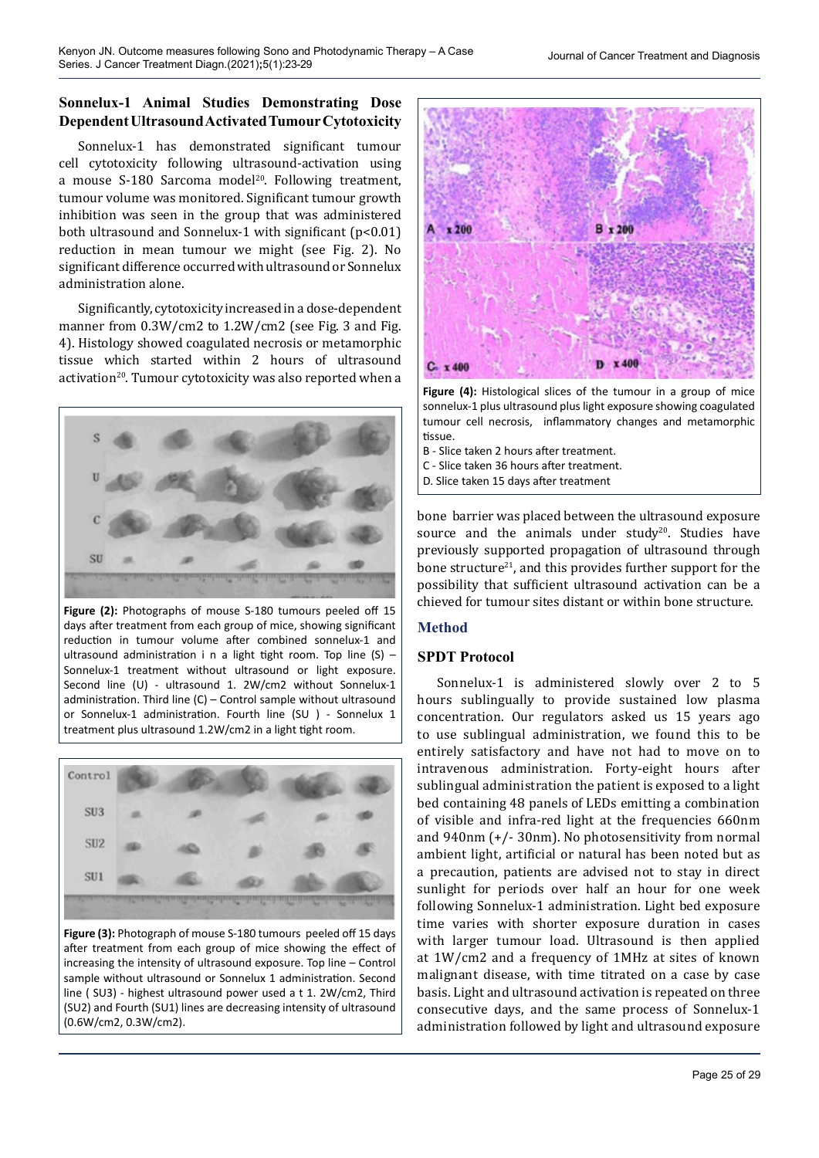# **Sonnelux-1 Animal Studies Demonstrating Dose Dependent Ultrasound Activated Tumour Cytotoxicity**

Sonnelux-1 has demonstrated significant tumour cell cytotoxicity following ultrasound-activation using a mouse S-180 Sarcoma model<sup>20</sup>. Following treatment, tumour volume was monitored. Significant tumour growth inhibition was seen in the group that was administered both ultrasound and Sonnelux-1 with significant (p<0.01) reduction in mean tumour we might (see Fig. 2). No significant difference occurred with ultrasound or Sonnelux administration alone.

Significantly, cytotoxicity increased in a dose-dependent manner from 0.3W/cm2 to 1.2W/cm2 (see Fig. 3 and Fig. 4). Histology showed coagulated necrosis or metamorphic tissue which started within 2 hours of ultrasound activation<sup>20</sup>. Tumour cytotoxicity was also reported when a



**Figure (2):** Photographs of mouse S-180 tumours peeled off 15 days after treatment from each group of mice, showing significant reduction in tumour volume after combined sonnelux-1 and ultrasound administration i n a light tight room. Top line  $(S)$  -Sonnelux-1 treatment without ultrasound or light exposure. Second line (U) - ultrasound 1. 2W/cm2 without Sonnelux-1 administration. Third line (C) – Control sample without ultrasound or Sonnelux-1 administration. Fourth line (SU ) - Sonnelux 1 treatment plus ultrasound 1.2W/cm2 in a light tight room.



**Figure (3):** Photograph of mouse S-180 tumours peeled off 15 days after treatment from each group of mice showing the effect of increasing the intensity of ultrasound exposure. Top line – Control sample without ultrasound or Sonnelux 1 administration. Second line ( SU3) - highest ultrasound power used a t 1. 2W/cm2, Third (SU2) and Fourth (SU1) lines are decreasing intensity of ultrasound (0.6W/cm2, 0.3W/cm2).



**Figure (4):** Histological slices of the tumour in a group of mice sonnelux-1 plus ultrasound plus light exposure showing coagulated tumour cell necrosis, inflammatory changes and metamorphic tissue.

- B Slice taken 2 hours after treatment.
- C Slice taken 36 hours after treatment.
- D. Slice taken 15 days after treatment

bone barrier was placed between the ultrasound exposure source and the animals under study<sup>20</sup>. Studies have previously supported propagation of ultrasound through bone structure<sup>21</sup>, and this provides further support for the possibility that sufficient ultrasound activation can be a chieved for tumour sites distant or within bone structure.

### **Method**

# **SPDT Protocol**

Sonnelux-1 is administered slowly over 2 to 5 hours sublingually to provide sustained low plasma concentration. Our regulators asked us 15 years ago to use sublingual administration, we found this to be entirely satisfactory and have not had to move on to intravenous administration. Forty-eight hours after sublingual administration the patient is exposed to a light bed containing 48 panels of LEDs emitting a combination of visible and infra-red light at the frequencies 660nm and 940nm (+/- 30nm). No photosensitivity from normal ambient light, artificial or natural has been noted but as a precaution, patients are advised not to stay in direct sunlight for periods over half an hour for one week following Sonnelux-1 administration. Light bed exposure time varies with shorter exposure duration in cases with larger tumour load. Ultrasound is then applied at 1W/cm2 and a frequency of 1MHz at sites of known malignant disease, with time titrated on a case by case basis. Light and ultrasound activation is repeated on three consecutive days, and the same process of Sonnelux-1 administration followed by light and ultrasound exposure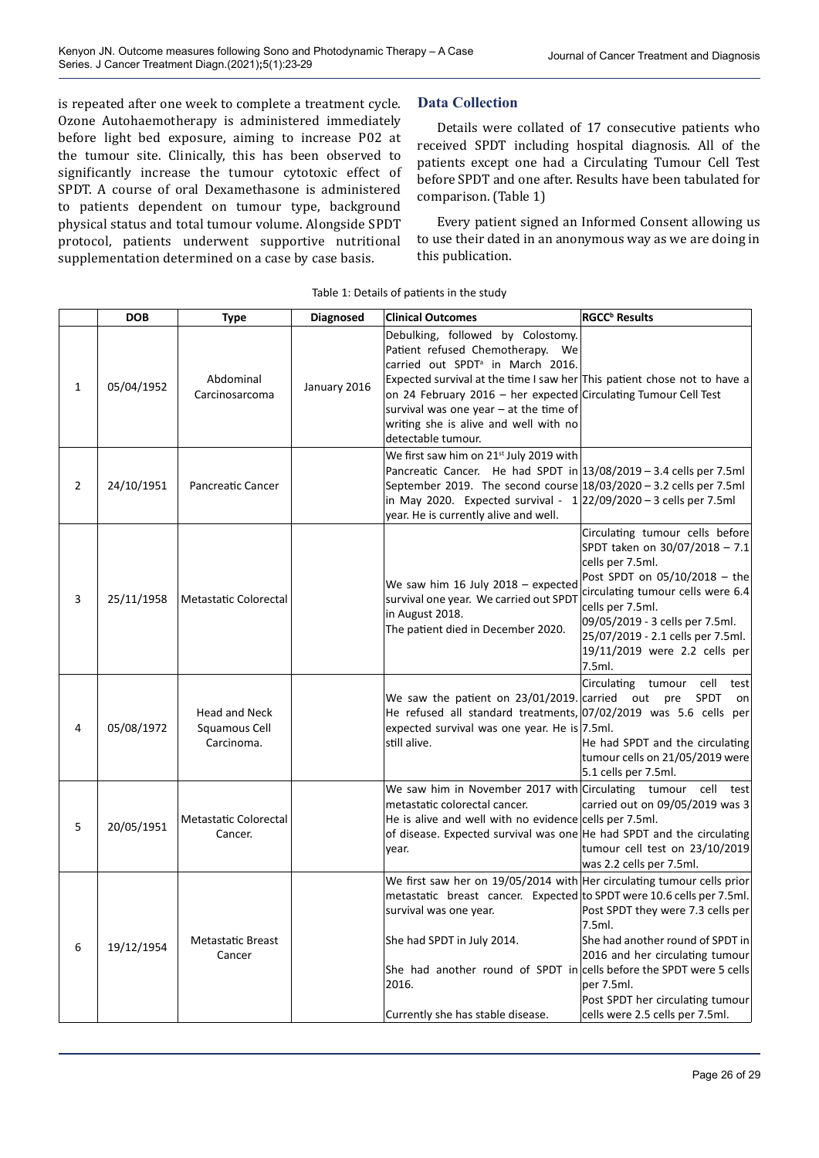is repeated after one week to complete a treatment cycle. Ozone Autohaemotherapy is administered immediately before light bed exposure, aiming to increase P02 at the tumour site. Clinically, this has been observed to significantly increase the tumour cytotoxic effect of SPDT. A course of oral Dexamethasone is administered to patients dependent on tumour type, background physical status and total tumour volume. Alongside SPDT protocol, patients underwent supportive nutritional supplementation determined on a case by case basis.

# **Data Collection**

Details were collated of 17 consecutive patients who received SPDT including hospital diagnosis. All of the patients except one had a Circulating Tumour Cell Test before SPDT and one after. Results have been tabulated for comparison. (Table 1)

Every patient signed an Informed Consent allowing us to use their dated in an anonymous way as we are doing in this publication.

|                | <b>DOB</b> | Type                                                | Diagnosed    | <b>Clinical Outcomes</b>                                                                                                                                                                                                                                                                                                                                                        | <b>RGCC<sup>b</sup></b> Results                                                                                                                                                                                                                                                                    |
|----------------|------------|-----------------------------------------------------|--------------|---------------------------------------------------------------------------------------------------------------------------------------------------------------------------------------------------------------------------------------------------------------------------------------------------------------------------------------------------------------------------------|----------------------------------------------------------------------------------------------------------------------------------------------------------------------------------------------------------------------------------------------------------------------------------------------------|
| $\mathbf{1}$   | 05/04/1952 | Abdominal<br>Carcinosarcoma                         | January 2016 | Debulking, followed by Colostomy.<br>Patient refused Chemotherapy. We<br>carried out SPDT <sup>ª</sup> in March 2016.<br>Expected survival at the time I saw her This patient chose not to have a<br>on 24 February 2016 - her expected Circulating Tumour Cell Test<br>survival was one year $-$ at the time of<br>writing she is alive and well with no<br>detectable tumour. |                                                                                                                                                                                                                                                                                                    |
| $\overline{2}$ | 24/10/1951 | Pancreatic Cancer                                   |              | We first saw him on 21 <sup>st</sup> July 2019 with<br>Pancreatic Cancer. He had SPDT in $13/08/2019 - 3.4$ cells per 7.5ml<br>September 2019. The second course 18/03/2020 - 3.2 cells per 7.5ml<br>in May 2020. Expected survival - $1 22/09/2020 - 3$ cells per 7.5ml<br>year. He is currently alive and well.                                                               |                                                                                                                                                                                                                                                                                                    |
| 3              | 25/11/1958 | Metastatic Colorectal                               |              | We saw him 16 July 2018 $-$ expected<br>survival one year. We carried out SPDT<br>in August 2018.<br>The patient died in December 2020.                                                                                                                                                                                                                                         | Circulating tumour cells before<br>SPDT taken on 30/07/2018 - 7.1<br>cells per 7.5ml.<br>Post SPDT on 05/10/2018 - the<br>circulating tumour cells were 6.4<br>cells per 7.5ml.<br>09/05/2019 - 3 cells per 7.5ml.<br>25/07/2019 - 2.1 cells per 7.5ml.<br>19/11/2019 were 2.2 cells per<br>7.5ml. |
| 4              | 05/08/1972 | <b>Head and Neck</b><br>Squamous Cell<br>Carcinoma. |              | We saw the patient on 23/01/2019. carried out pre<br>He refused all standard treatments, 07/02/2019 was 5.6 cells per<br>expected survival was one year. He is 7.5ml.<br>still alive.                                                                                                                                                                                           | Circulating tumour cell<br>test<br>SPDT<br>on<br>He had SPDT and the circulating<br>tumour cells on 21/05/2019 were<br>5.1 cells per 7.5ml.                                                                                                                                                        |
| 5              | 20/05/1951 | Metastatic Colorectal<br>Cancer.                    |              | We saw him in November 2017 with Circulating tumour cell<br>metastatic colorectal cancer.<br>He is alive and well with no evidence cells per 7.5ml.<br>of disease. Expected survival was one He had SPDT and the circulating<br>vear.                                                                                                                                           | test<br>carried out on 09/05/2019 was 3<br>tumour cell test on 23/10/2019<br>was 2.2 cells per 7.5ml.                                                                                                                                                                                              |
| 6              | 19/12/1954 | <b>Metastatic Breast</b><br>Cancer                  |              | We first saw her on 19/05/2014 with Her circulating tumour cells prior<br>metastatic breast cancer. Expected to SPDT were 10.6 cells per 7.5ml.<br>survival was one year.<br>She had SPDT in July 2014.<br>She had another round of SPDT in cells before the SPDT were 5 cells<br>2016.<br>Currently she has stable disease.                                                    | Post SPDT they were 7.3 cells per<br>7.5ml.<br>She had another round of SPDT in<br>2016 and her circulating tumour<br>per 7.5ml.<br>Post SPDT her circulating tumour<br>cells were 2.5 cells per 7.5ml.                                                                                            |

#### Table 1: Details of patients in the study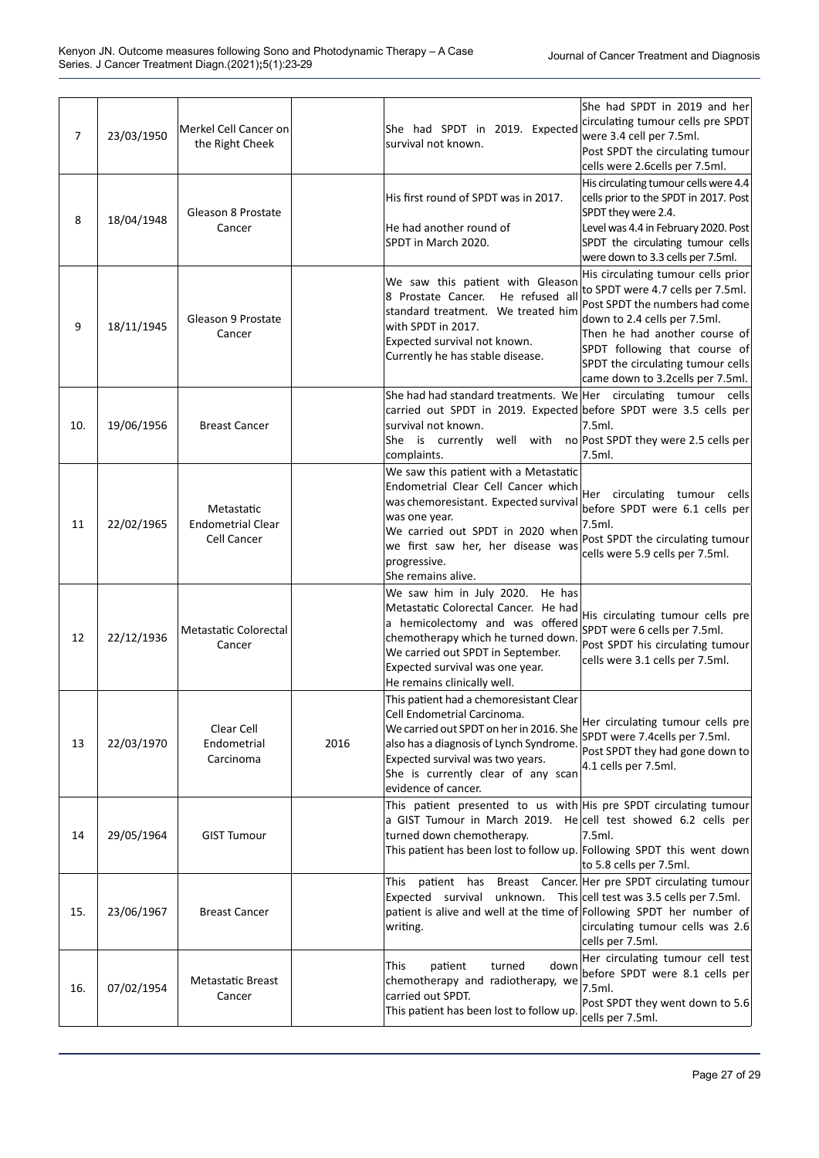| $\overline{7}$ | 23/03/1950 | Merkel Cell Cancer on<br>the Right Cheek              |      | She had SPDT in 2019. Expected<br>survival not known.                                                                                                                                                                                                         | She had SPDT in 2019 and her<br>circulating tumour cells pre SPDT<br>were 3.4 cell per 7.5ml.<br>Post SPDT the circulating tumour<br>cells were 2.6cells per 7.5ml.                                                                                                                   |
|----------------|------------|-------------------------------------------------------|------|---------------------------------------------------------------------------------------------------------------------------------------------------------------------------------------------------------------------------------------------------------------|---------------------------------------------------------------------------------------------------------------------------------------------------------------------------------------------------------------------------------------------------------------------------------------|
| 8              | 18/04/1948 | Gleason 8 Prostate<br>Cancer                          |      | His first round of SPDT was in 2017.<br>He had another round of<br>SPDT in March 2020.                                                                                                                                                                        | His circulating tumour cells were 4.4<br>cells prior to the SPDT in 2017. Post<br>SPDT they were 2.4.<br>Level was 4.4 in February 2020. Post<br>SPDT the circulating tumour cells<br>were down to 3.3 cells per 7.5ml.                                                               |
| 9              | 18/11/1945 | Gleason 9 Prostate<br>Cancer                          |      | We saw this patient with Gleason<br>8 Prostate Cancer.<br>He refused all<br>standard treatment. We treated him<br>with SPDT in 2017.<br>Expected survival not known.<br>Currently he has stable disease.                                                      | His circulating tumour cells prior<br>to SPDT were 4.7 cells per 7.5ml.<br>Post SPDT the numbers had come<br>down to 2.4 cells per 7.5ml.<br>Then he had another course of<br>SPDT following that course of<br>SPDT the circulating tumour cells<br>came down to 3.2 cells per 7.5ml. |
| 10.            | 19/06/1956 | <b>Breast Cancer</b>                                  |      | She had had standard treatments. We Her circulating tumour cells<br>carried out SPDT in 2019. Expected before SPDT were 3.5 cells per<br>survival not known.<br>She is currently<br>complaints.                                                               | 7.5ml.<br>well with no Post SPDT they were 2.5 cells per<br>7.5ml.                                                                                                                                                                                                                    |
| 11             | 22/02/1965 | Metastatic<br><b>Endometrial Clear</b><br>Cell Cancer |      | We saw this patient with a Metastatic<br>Endometrial Clear Cell Cancer which<br>was chemoresistant. Expected survival<br>was one year.<br>We carried out SPDT in 2020 when<br>we first saw her, her disease was<br>progressive.<br>She remains alive.         | Her circulating tumour cells<br>before SPDT were 6.1 cells per<br>7.5ml.<br>Post SPDT the circulating tumour<br>cells were 5.9 cells per 7.5ml.                                                                                                                                       |
| 12             | 22/12/1936 | <b>Metastatic Colorectal</b><br>Cancer                |      | We saw him in July 2020.<br>He has<br>Metastatic Colorectal Cancer. He had<br>a hemicolectomy and was offered<br>chemotherapy which he turned down.<br>We carried out SPDT in September.<br>Expected survival was one year.<br>He remains clinically well.    | His circulating tumour cells pre<br>SPDT were 6 cells per 7.5ml.<br>Post SPDT his circulating tumour<br>cells were 3.1 cells per 7.5ml.                                                                                                                                               |
| 13             | 22/03/1970 | Clear Cell<br>Endometrial<br>Carcinoma                | 2016 | This patient had a chemoresistant Clear<br>Cell Endometrial Carcinoma.<br>We carried out SPDT on her in 2016. She<br>also has a diagnosis of Lynch Syndrome.<br>Expected survival was two years.<br>She is currently clear of any scan<br>evidence of cancer. | Her circulating tumour cells pre<br>SPDT were 7.4cells per 7.5ml.<br>Post SPDT they had gone down to<br>4.1 cells per 7.5ml.                                                                                                                                                          |
| 14             | 29/05/1964 | <b>GIST Tumour</b>                                    |      | This patient presented to us with His pre SPDT circulating tumour<br>a GIST Tumour in March 2019. He cell test showed 6.2 cells per<br>turned down chemotherapy.<br>This patient has been lost to follow up. Following SPDT this went down                    | 7.5ml.<br>to 5.8 cells per 7.5ml.                                                                                                                                                                                                                                                     |
| 15.            | 23/06/1967 | <b>Breast Cancer</b>                                  |      | This<br>Expected survival unknown. This cell test was 3.5 cells per 7.5ml.<br>patient is alive and well at the time of Following SPDT her number of<br>writing.                                                                                               | patient has Breast Cancer. Her pre SPDT circulating tumour<br>circulating tumour cells was 2.6<br>cells per 7.5ml.                                                                                                                                                                    |
| 16.            | 07/02/1954 | <b>Metastatic Breast</b><br>Cancer                    |      | This<br>turned<br>down<br>patient<br>chemotherapy and radiotherapy, we<br>carried out SPDT.<br>This patient has been lost to follow up.                                                                                                                       | Her circulating tumour cell test<br>before SPDT were 8.1 cells per<br>7.5ml.<br>Post SPDT they went down to 5.6<br>cells per 7.5ml.                                                                                                                                                   |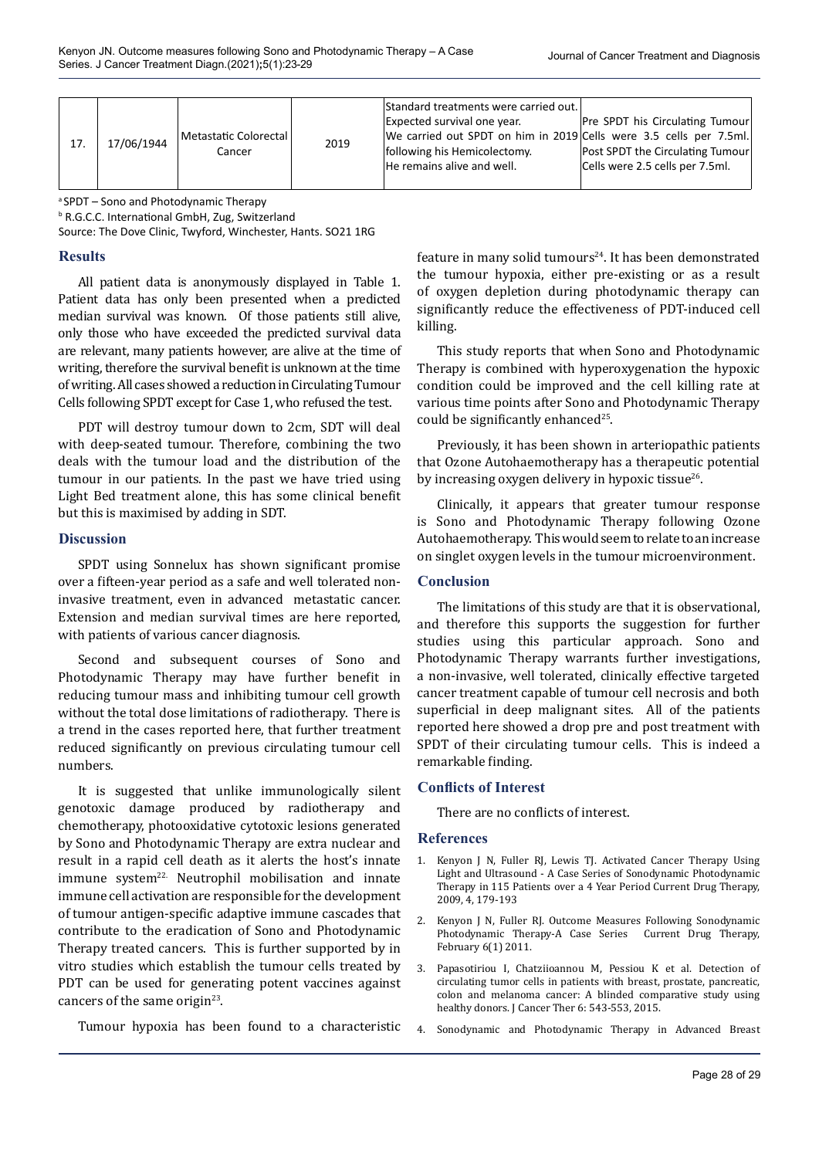| 17. | 17/06/1944 | Metastatic Colorectal<br>Cancer | 2019 | Standard treatments were carried out.<br>Expected survival one year.<br>We carried out SPDT on him in 2019 Cells were 3.5 cells per 7.5ml.<br>following his Hemicolectomy.<br>He remains alive and well. | Pre SPDT his Circulating Tumour<br>Post SPDT the Circulating Tumour<br>Cells were 2.5 cells per 7.5ml. |
|-----|------------|---------------------------------|------|----------------------------------------------------------------------------------------------------------------------------------------------------------------------------------------------------------|--------------------------------------------------------------------------------------------------------|
|-----|------------|---------------------------------|------|----------------------------------------------------------------------------------------------------------------------------------------------------------------------------------------------------------|--------------------------------------------------------------------------------------------------------|

a SPDT – Sono and Photodynamic Therapy

b R.G.C.C. International GmbH, Zug, Switzerland Source: The Dove Clinic, Twyford, Winchester, Hants. SO21 1RG

### **Results**

All patient data is anonymously displayed in Table 1. Patient data has only been presented when a predicted median survival was known. Of those patients still alive, only those who have exceeded the predicted survival data are relevant, many patients however, are alive at the time of writing, therefore the survival benefit is unknown at the time of writing. All cases showed a reduction in Circulating Tumour Cells following SPDT except for Case 1, who refused the test.

PDT will destroy tumour down to 2cm, SDT will deal with deep-seated tumour. Therefore, combining the two deals with the tumour load and the distribution of the tumour in our patients. In the past we have tried using Light Bed treatment alone, this has some clinical benefit but this is maximised by adding in SDT.

### **Discussion**

SPDT using Sonnelux has shown significant promise over a fifteen-year period as a safe and well tolerated noninvasive treatment, even in advanced metastatic cancer. Extension and median survival times are here reported, with patients of various cancer diagnosis.

Second and subsequent courses of Sono and Photodynamic Therapy may have further benefit in reducing tumour mass and inhibiting tumour cell growth without the total dose limitations of radiotherapy. There is a trend in the cases reported here, that further treatment reduced significantly on previous circulating tumour cell numbers.

It is suggested that unlike immunologically silent genotoxic damage produced by radiotherapy and chemotherapy, photooxidative cytotoxic lesions generated by Sono and Photodynamic Therapy are extra nuclear and result in a rapid cell death as it alerts the host's innate immune system<sup>22.</sup> Neutrophil mobilisation and innate immune cell activation are responsible for the development of tumour antigen-specific adaptive immune cascades that contribute to the eradication of Sono and Photodynamic Therapy treated cancers. This is further supported by in vitro studies which establish the tumour cells treated by PDT can be used for generating potent vaccines against cancers of the same origin $23$ .

Tumour hypoxia has been found to a characteristic

feature in many solid tumours<sup>24</sup>. It has been demonstrated the tumour hypoxia, either pre-existing or as a result of oxygen depletion during photodynamic therapy can significantly reduce the effectiveness of PDT-induced cell killing.

This study reports that when Sono and Photodynamic Therapy is combined with hyperoxygenation the hypoxic condition could be improved and the cell killing rate at various time points after Sono and Photodynamic Therapy could be significantly enhanced<sup>25</sup>.

Previously, it has been shown in arteriopathic patients that Ozone Autohaemotherapy has a therapeutic potential by increasing oxygen delivery in hypoxic tissue $^{26}$ .

Clinically, it appears that greater tumour response is Sono and Photodynamic Therapy following Ozone Autohaemotherapy. This would seem to relate to an increase on singlet oxygen levels in the tumour microenvironment.

### **Conclusion**

The limitations of this study are that it is observational, and therefore this supports the suggestion for further studies using this particular approach. Sono and Photodynamic Therapy warrants further investigations, a non-invasive, well tolerated, clinically effective targeted cancer treatment capable of tumour cell necrosis and both superficial in deep malignant sites. All of the patients reported here showed a drop pre and post treatment with SPDT of their circulating tumour cells. This is indeed a remarkable finding.

### **Conflicts of Interest**

There are no conflicts of interest.

### **References**

- 1. Kenyon J N, Fuller RJ, Lewis TJ. Activated Cancer Therapy Using Light and Ultrasound - A Case Series of Sonodynamic Photodynamic Therapy in 115 Patients over a 4 Year Period Current Drug Therapy, 2009, 4, 179-193
- 2. Kenyon J N, Fuller RJ. Outcome Measures Following Sonodynamic Photodynamic Therapy-A Case Series Current Drug Therapy, February 6(1) 2011.
- 3. Papasotiriou I, Chatziioannou M, Pessiou K et al. Detection of circulating tumor cells in patients with breast, prostate, pancreatic, colon and melanoma cancer: A blinded comparative study using healthy donors. J Cancer Ther 6: 543-553, 2015.
- 4. Sonodynamic and Photodynamic Therapy in Advanced Breast